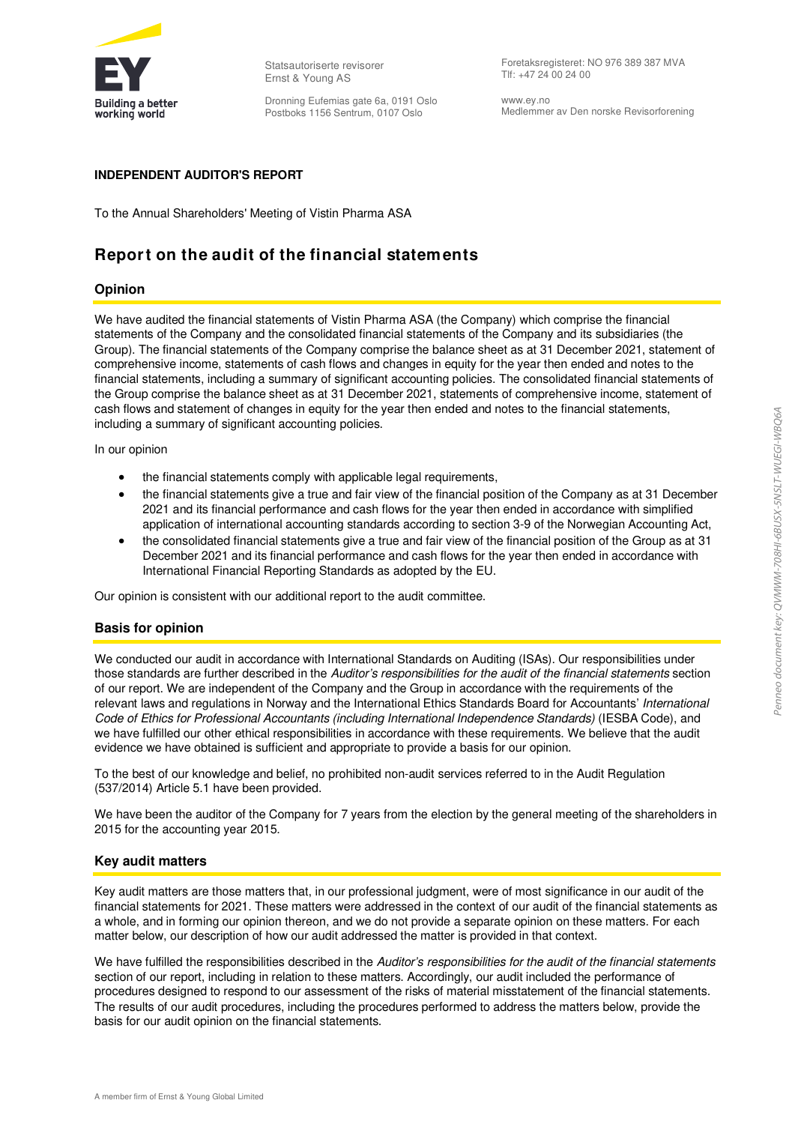

Statsautoriserte revisorer Ernst & Young AS

Dronning Eufemias gate 6a, 0191 Oslo Postboks 1156 Sentrum, 0107 Oslo

Foretaksregisteret: NO 976 389 387 MVA Tlf: +47 24 00 24 00

www.ey.no Medlemmer av Den norske Revisorforening

## **INDEPENDENT AUDITOR'S REPORT**

To the Annual Shareholders' Meeting of Vistin Pharma ASA

# **Report on the audit of the financial statements**

## **Opinion**

We have audited the financial statements of Vistin Pharma ASA (the Company) which comprise the financial statements of the Company and the consolidated financial statements of the Company and its subsidiaries (the Group). The financial statements of the Company comprise the balance sheet as at 31 December 2021, statement of comprehensive income, statements of cash flows and changes in equity for the year then ended and notes to the financial statements, including a summary of significant accounting policies. The consolidated financial statements of the Group comprise the balance sheet as at 31 December 2021, statements of comprehensive income, statement of cash flows and statement of changes in equity for the year then ended and notes to the financial statements, including a summary of significant accounting policies.

In our opinion

- the financial statements comply with applicable legal requirements,
- the financial statements give a true and fair view of the financial position of the Company as at 31 December 2021 and its financial performance and cash flows for the year then ended in accordance with simplified application of international accounting standards according to section 3-9 of the Norwegian Accounting Act,
- the consolidated financial statements give a true and fair view of the financial position of the Group as at 31 December 2021 and its financial performance and cash flows for the year then ended in accordance with International Financial Reporting Standards as adopted by the EU.

Our opinion is consistent with our additional report to the audit committee.

#### **Basis for opinion**

We conducted our audit in accordance with International Standards on Auditing (ISAs). Our responsibilities under those standards are further described in the Auditor's responsibilities for the audit of the financial statements section of our report. We are independent of the Company and the Group in accordance with the requirements of the relevant laws and regulations in Norway and the International Ethics Standards Board for Accountants' International Code of Ethics for Professional Accountants (including International Independence Standards) (IESBA Code), and we have fulfilled our other ethical responsibilities in accordance with these requirements. We believe that the audit evidence we have obtained is sufficient and appropriate to provide a basis for our opinion.

To the best of our knowledge and belief, no prohibited non-audit services referred to in the Audit Regulation (537/2014) Article 5.1 have been provided.

We have been the auditor of the Company for 7 years from the election by the general meeting of the shareholders in 2015 for the accounting year 2015.

#### **Key audit matters**

Key audit matters are those matters that, in our professional judgment, were of most significance in our audit of the financial statements for 2021. These matters were addressed in the context of our audit of the financial statements as a whole, and in forming our opinion thereon, and we do not provide a separate opinion on these matters. For each matter below, our description of how our audit addressed the matter is provided in that context.

We have fulfilled the responsibilities described in the Auditor's responsibilities for the audit of the financial statements section of our report, including in relation to these matters. Accordingly, our audit included the performance of procedures designed to respond to our assessment of the risks of material misstatement of the financial statements. The results of our audit procedures, including the procedures performed to address the matters below, provide the basis for our audit opinion on the financial statements.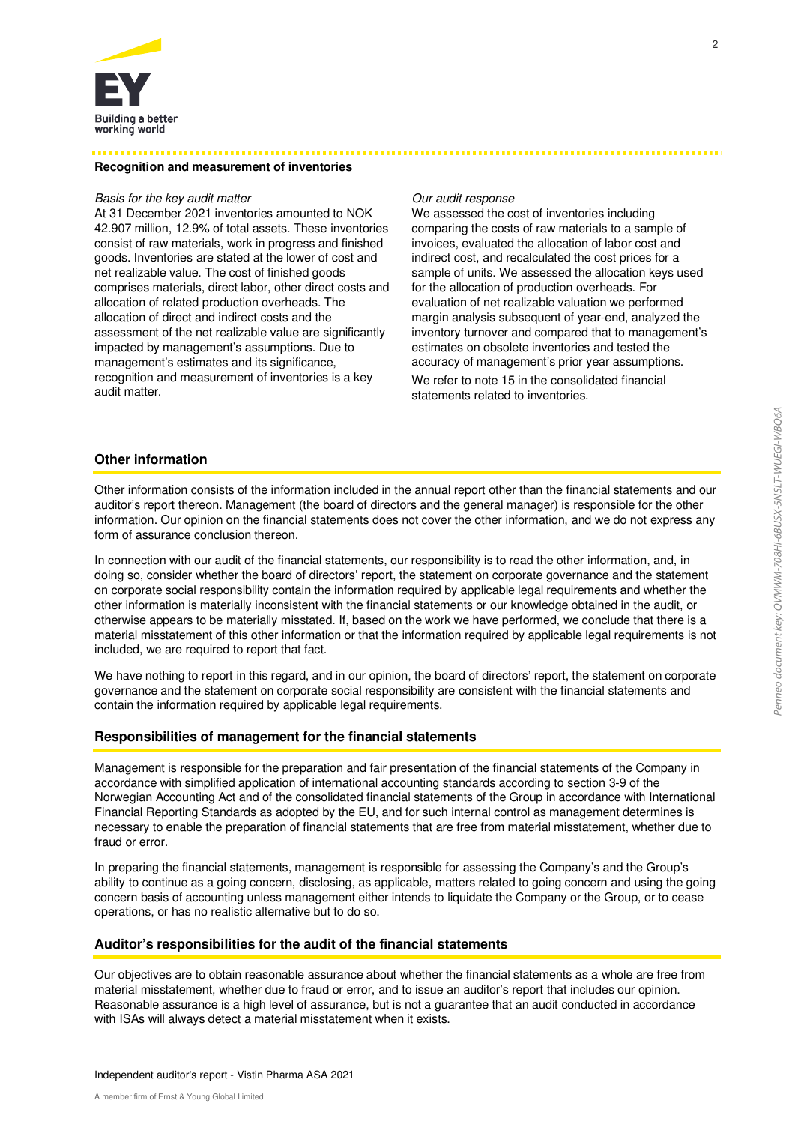

#### **Recognition and measurement of inventories**

#### Basis for the key audit matter

At 31 December 2021 inventories amounted to NOK 42.907 million, 12.9% of total assets. These inventories consist of raw materials, work in progress and finished goods. Inventories are stated at the lower of cost and net realizable value. The cost of finished goods comprises materials, direct labor, other direct costs and allocation of related production overheads. The allocation of direct and indirect costs and the assessment of the net realizable value are significantly impacted by management's assumptions. Due to management's estimates and its significance, recognition and measurement of inventories is a key audit matter.

#### Our audit response

We assessed the cost of inventories including comparing the costs of raw materials to a sample of invoices, evaluated the allocation of labor cost and indirect cost, and recalculated the cost prices for a sample of units. We assessed the allocation keys used for the allocation of production overheads. For evaluation of net realizable valuation we performed margin analysis subsequent of year-end, analyzed the inventory turnover and compared that to management's estimates on obsolete inventories and tested the accuracy of management's prior year assumptions. We refer to note 15 in the consolidated financial statements related to inventories.

#### **Other information**

Other information consists of the information included in the annual report other than the financial statements and our auditor's report thereon. Management (the board of directors and the general manager) is responsible for the other information. Our opinion on the financial statements does not cover the other information, and we do not express any form of assurance conclusion thereon.

In connection with our audit of the financial statements, our responsibility is to read the other information, and, in doing so, consider whether the board of directors' report, the statement on corporate governance and the statement on corporate social responsibility contain the information required by applicable legal requirements and whether the other information is materially inconsistent with the financial statements or our knowledge obtained in the audit, or otherwise appears to be materially misstated. If, based on the work we have performed, we conclude that there is a material misstatement of this other information or that the information required by applicable legal requirements is not included, we are required to report that fact.

We have nothing to report in this regard, and in our opinion, the board of directors' report, the statement on corporate governance and the statement on corporate social responsibility are consistent with the financial statements and contain the information required by applicable legal requirements.

#### **Responsibilities of management for the financial statements**

Management is responsible for the preparation and fair presentation of the financial statements of the Company in accordance with simplified application of international accounting standards according to section 3-9 of the Norwegian Accounting Act and of the consolidated financial statements of the Group in accordance with International Financial Reporting Standards as adopted by the EU, and for such internal control as management determines is necessary to enable the preparation of financial statements that are free from material misstatement, whether due to fraud or error.

In preparing the financial statements, management is responsible for assessing the Company's and the Group's ability to continue as a going concern, disclosing, as applicable, matters related to going concern and using the going concern basis of accounting unless management either intends to liquidate the Company or the Group, or to cease operations, or has no realistic alternative but to do so.

#### **Auditor's responsibilities for the audit of the financial statements**

Our objectives are to obtain reasonable assurance about whether the financial statements as a whole are free from material misstatement, whether due to fraud or error, and to issue an auditor's report that includes our opinion. Reasonable assurance is a high level of assurance, but is not a guarantee that an audit conducted in accordance with ISAs will always detect a material misstatement when it exists.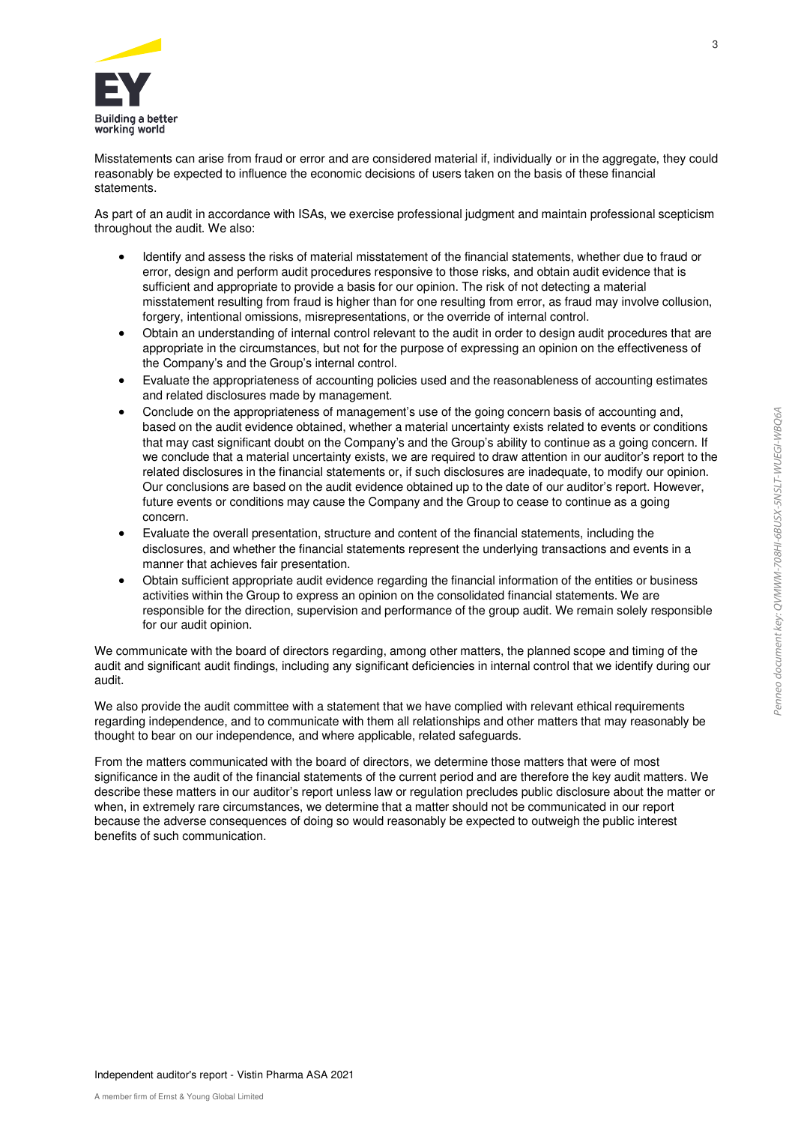

Misstatements can arise from fraud or error and are considered material if, individually or in the aggregate, they could reasonably be expected to influence the economic decisions of users taken on the basis of these financial statements.

As part of an audit in accordance with ISAs, we exercise professional judgment and maintain professional scepticism throughout the audit. We also:

- Identify and assess the risks of material misstatement of the financial statements, whether due to fraud or error, design and perform audit procedures responsive to those risks, and obtain audit evidence that is sufficient and appropriate to provide a basis for our opinion. The risk of not detecting a material misstatement resulting from fraud is higher than for one resulting from error, as fraud may involve collusion, forgery, intentional omissions, misrepresentations, or the override of internal control.
- Obtain an understanding of internal control relevant to the audit in order to design audit procedures that are appropriate in the circumstances, but not for the purpose of expressing an opinion on the effectiveness of the Company's and the Group's internal control.
- Evaluate the appropriateness of accounting policies used and the reasonableness of accounting estimates and related disclosures made by management.
- Conclude on the appropriateness of management's use of the going concern basis of accounting and, based on the audit evidence obtained, whether a material uncertainty exists related to events or conditions that may cast significant doubt on the Company's and the Group's ability to continue as a going concern. If we conclude that a material uncertainty exists, we are required to draw attention in our auditor's report to the related disclosures in the financial statements or, if such disclosures are inadequate, to modify our opinion. Our conclusions are based on the audit evidence obtained up to the date of our auditor's report. However, future events or conditions may cause the Company and the Group to cease to continue as a going concern.
- Evaluate the overall presentation, structure and content of the financial statements, including the disclosures, and whether the financial statements represent the underlying transactions and events in a manner that achieves fair presentation.
- Obtain sufficient appropriate audit evidence regarding the financial information of the entities or business activities within the Group to express an opinion on the consolidated financial statements. We are responsible for the direction, supervision and performance of the group audit. We remain solely responsible for our audit opinion.

We communicate with the board of directors regarding, among other matters, the planned scope and timing of the audit and significant audit findings, including any significant deficiencies in internal control that we identify during our audit.

We also provide the audit committee with a statement that we have complied with relevant ethical requirements regarding independence, and to communicate with them all relationships and other matters that may reasonably be thought to bear on our independence, and where applicable, related safeguards.

From the matters communicated with the board of directors, we determine those matters that were of most significance in the audit of the financial statements of the current period and are therefore the key audit matters. We describe these matters in our auditor's report unless law or regulation precludes public disclosure about the matter or when, in extremely rare circumstances, we determine that a matter should not be communicated in our report because the adverse consequences of doing so would reasonably be expected to outweigh the public interest benefits of such communication.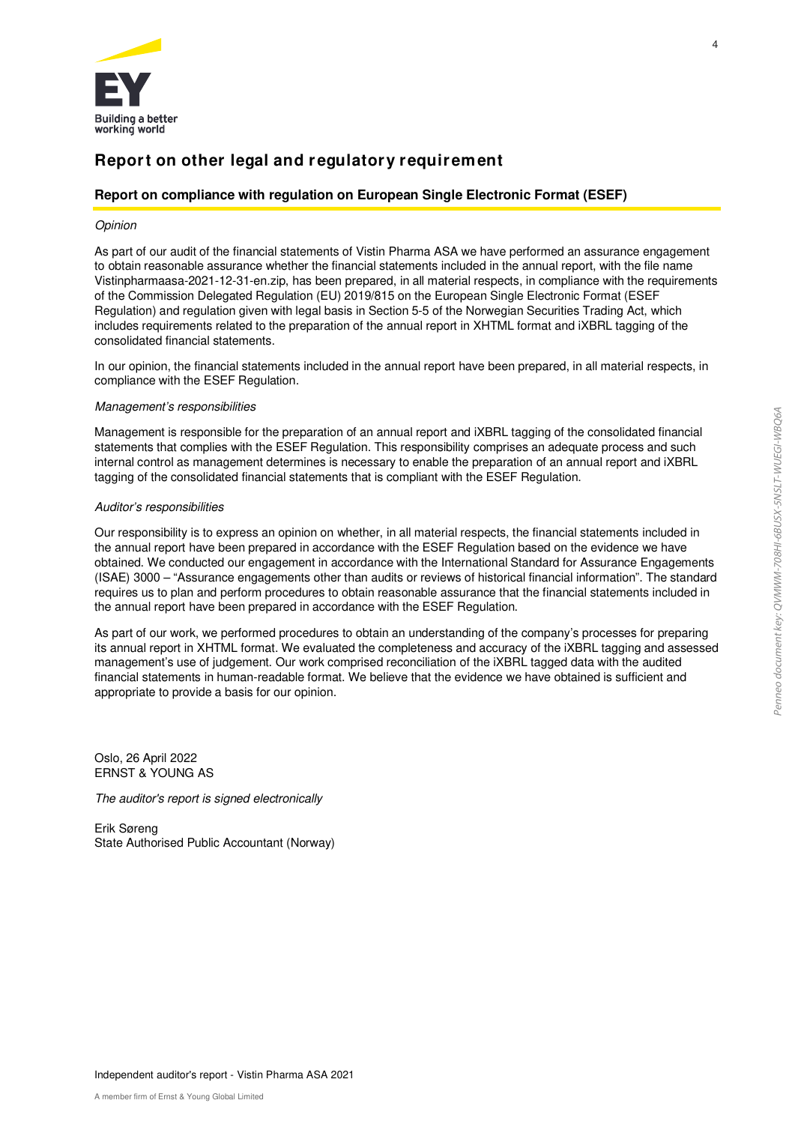

# **Report on other legal and regulatory requirement**

## **Report on compliance with regulation on European Single Electronic Format (ESEF)**

#### **Opinion**

As part of our audit of the financial statements of Vistin Pharma ASA we have performed an assurance engagement to obtain reasonable assurance whether the financial statements included in the annual report, with the file name Vistinpharmaasa-2021-12-31-en.zip, has been prepared, in all material respects, in compliance with the requirements of the Commission Delegated Regulation (EU) 2019/815 on the European Single Electronic Format (ESEF Regulation) and regulation given with legal basis in Section 5-5 of the Norwegian Securities Trading Act, which includes requirements related to the preparation of the annual report in XHTML format and iXBRL tagging of the consolidated financial statements.

In our opinion, the financial statements included in the annual report have been prepared, in all material respects, in compliance with the ESEF Regulation.

#### Management's responsibilities

Management is responsible for the preparation of an annual report and iXBRL tagging of the consolidated financial statements that complies with the ESEF Regulation. This responsibility comprises an adequate process and such internal control as management determines is necessary to enable the preparation of an annual report and iXBRL tagging of the consolidated financial statements that is compliant with the ESEF Regulation.

#### Auditor's responsibilities

Our responsibility is to express an opinion on whether, in all material respects, the financial statements included in the annual report have been prepared in accordance with the ESEF Regulation based on the evidence we have obtained. We conducted our engagement in accordance with the International Standard for Assurance Engagements (ISAE) 3000 – "Assurance engagements other than audits or reviews of historical financial information". The standard requires us to plan and perform procedures to obtain reasonable assurance that the financial statements included in the annual report have been prepared in accordance with the ESEF Regulation.

As part of our work, we performed procedures to obtain an understanding of the company's processes for preparing its annual report in XHTML format. We evaluated the completeness and accuracy of the iXBRL tagging and assessed management's use of judgement. Our work comprised reconciliation of the iXBRL tagged data with the audited financial statements in human-readable format. We believe that the evidence we have obtained is sufficient and appropriate to provide a basis for our opinion.

Oslo, 26 April 2022 ERNST & YOUNG AS

The auditor's report is signed electronically

Erik Søreng State Authorised Public Accountant (Norway)